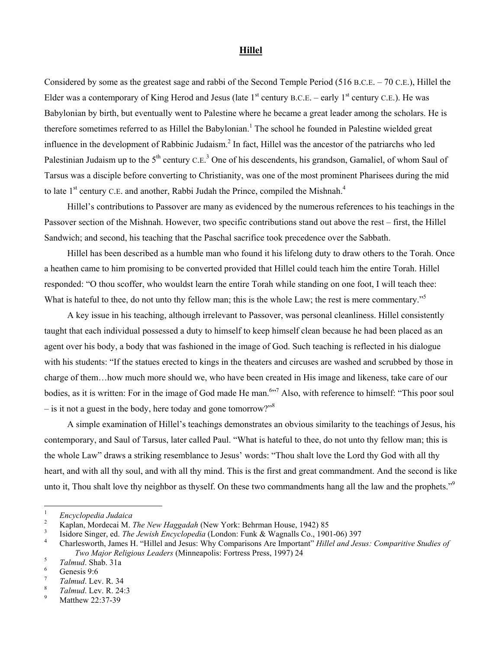## **Hillel**

Considered by some as the greatest sage and rabbi of the Second Temple Period (516 B.C.E. – 70 C.E.), Hillel the Elder was a contemporary of King Herod and Jesus (late  $1<sup>st</sup>$  century B.C.E. – early  $1<sup>st</sup>$  century C.E.). He was Babylonian by birth, but eventually went to Palestine where he became a great leader among the scholars. He is therefore sometimes referred to as Hillel the Babylonian.<sup>[1](#page-0-0)</sup> The school he founded in Palestine wielded great influence in the development of Rabbinic Judaism.<sup>[2](#page-0-1)</sup> In fact, Hillel was the ancestor of the patriarchs who led Palestinian Judaism up to the  $5<sup>th</sup>$  century C.E.<sup>[3](#page-0-2)</sup> One of his descendents, his grandson, Gamaliel, of whom Saul of Tarsus was a disciple before converting to Christianity, was one of the most prominent Pharisees during the mid to late  $1<sup>st</sup>$  century C.E. and another, Rabbi Judah the Prince, compiled the Mishnah.<sup>4</sup>

Hillel's contributions to Passover are many as evidenced by the numerous references to his teachings in the Passover section of the Mishnah. However, two specific contributions stand out above the rest – first, the Hillel Sandwich; and second, his teaching that the Paschal sacrifice took precedence over the Sabbath.

Hillel has been described as a humble man who found it his lifelong duty to draw others to the Torah. Once a heathen came to him promising to be converted provided that Hillel could teach him the entire Torah. Hillel responded: "O thou scoffer, who wouldst learn the entire Torah while standing on one foot, I will teach thee: What is hateful to thee, do not unto thy fellow man; this is the whole Law; the rest is mere commentary."<sup>[5](#page-0-4)</sup>

A key issue in his teaching, although irrelevant to Passover, was personal cleanliness. Hillel consistently taught that each individual possessed a duty to himself to keep himself clean because he had been placed as an agent over his body, a body that was fashioned in the image of God. Such teaching is reflected in his dialogue with his students: "If the statues erected to kings in the theaters and circuses are washed and scrubbed by those in charge of them…how much more should we, who have been created in His image and likeness, take care of our bodies, as it is written: For in the image of God made He man.<sup>[6](#page-0-5)</sup><sup>57</sup>Also, with reference to himself: "This poor soul – is it not a guest in the body, here today and gone tomorrow?"

A simple examination of Hillel's teachings demonstrates an obvious similarity to the teachings of Jesus, his contemporary, and Saul of Tarsus, later called Paul. "What is hateful to thee, do not unto thy fellow man; this is the whole Law" draws a striking resemblance to Jesus' words: "Thou shalt love the Lord thy God with all thy heart, and with all thy soul, and with all thy mind. This is the first and great commandment. And the second is like unto it, Thou shalt love thy neighbor as thyself. On these two commandments hang all the law and the prophets."<sup>9</sup>

<span id="page-0-0"></span> $\frac{1}{1}$ <sup>1</sup> Encyclopedia Judaica

<span id="page-0-1"></span><sup>&</sup>lt;sup>2</sup> Kaplan, Mordecai M. *The New Haggadah* (New York: Behrman House, 1942) 85<sup>3</sup> Isidem Singar ad *The Invite* Engustas (Landau Furthe & Wagnalla Ca. 199

<span id="page-0-2"></span>Isidore Singer, ed. *The Jewish Encyclopedia* (London: Funk & Wagnalls Co., 1901-06) 397 4

<span id="page-0-3"></span>Charlesworth, James H. "Hillel and Jesus: Why Comparisons Are Important" *Hillel and Jesus: Comparitive Studies of Two Major Religious Leaders* (Minneapolis: Fortress Press, 1997) 24

<span id="page-0-4"></span> $T$ *Talmud*. Shab. 31a

<span id="page-0-5"></span>Genesis 9:6

<span id="page-0-6"></span><sup>7</sup>  $T$ *Talmud*. Lev. R. 34

<span id="page-0-7"></span>*Talmud.* Lev. R. 24:3

<span id="page-0-8"></span>Matthew 22:37-39